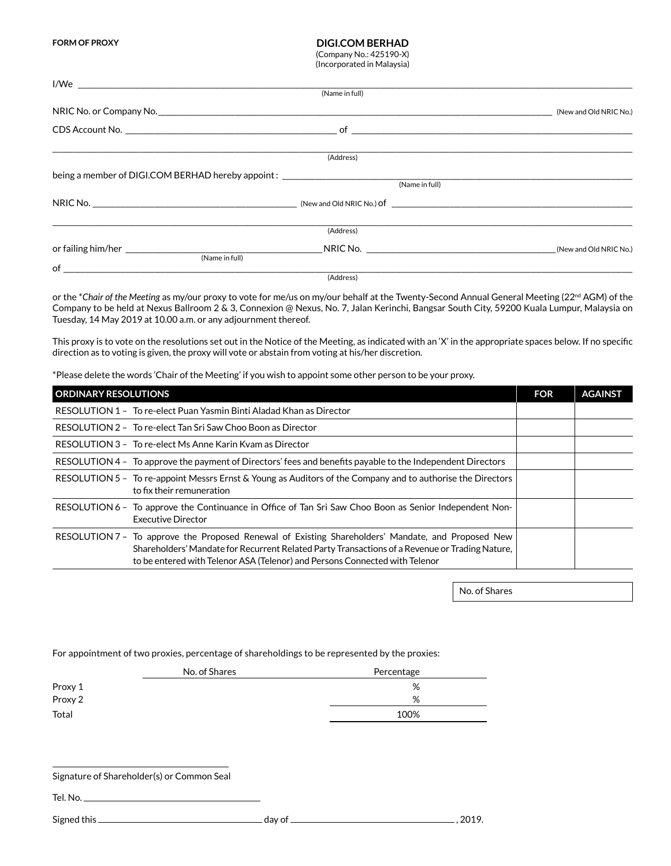**FORM OF PROXY**

## **DIGI.COM BERHAD**

(Company No.: 425190-X) (Incorporated in Malaysia)

|                                                                                   | (Name in full) |                                                                                                                                                                                                                                |                        |
|-----------------------------------------------------------------------------------|----------------|--------------------------------------------------------------------------------------------------------------------------------------------------------------------------------------------------------------------------------|------------------------|
|                                                                                   |                |                                                                                                                                                                                                                                | (New and Old NRIC No.) |
|                                                                                   |                |                                                                                                                                                                                                                                |                        |
|                                                                                   | (Address)      |                                                                                                                                                                                                                                |                        |
| being a member of DIGI.COM BERHAD hereby appoint: _______________________________ |                |                                                                                                                                                                                                                                |                        |
|                                                                                   |                | (Name in full)                                                                                                                                                                                                                 |                        |
|                                                                                   |                |                                                                                                                                                                                                                                |                        |
|                                                                                   | (Address)      |                                                                                                                                                                                                                                |                        |
| (Name in full)                                                                    |                | NRIC No. 2008 A STATE OF THE STATE OF THE STATE OF THE STATE OF THE STATE OF THE STATE OF THE STATE OF THE STATE OF THE STATE OF THE STATE OF THE STATE OF THE STATE OF THE STATE OF THE STATE OF THE STATE OF THE STATE OF TH | (New and Old NRIC No.) |
| of                                                                                |                |                                                                                                                                                                                                                                |                        |

(Address)

or the \**Chair of the Meeting* as my/our proxy to vote for me/us on my/our behalf at the Twenty-Second Annual General Meeting (22nd AGM) of the Company to be held at Nexus Ballroom 2 & 3, Connexion @ Nexus, No. 7, Jalan Kerinchi, Bangsar South City, 59200 Kuala Lumpur, Malaysia on Tuesday, 14 May 2019 at 10.00 a.m. or any adjournment thereof.

This proxy is to vote on the resolutions set out in the Notice of the Meeting, as indicated with an 'X' in the appropriate spaces below. If no specific direction as to voting is given, the proxy will vote or abstain from voting at his/her discretion.

\*Please delete the words 'Chair of the Meeting' if you wish to appoint some other person to be your proxy.

| <b>ORDINARY RESOLUTIONS</b>                                                                                                                                                                                                                                                         | <b>FOR</b> | <b>AGAINST</b> |
|-------------------------------------------------------------------------------------------------------------------------------------------------------------------------------------------------------------------------------------------------------------------------------------|------------|----------------|
| RESOLUTION 1 - To re-elect Puan Yasmin Binti Aladad Khan as Director                                                                                                                                                                                                                |            |                |
| RESOLUTION 2 - To re-elect Tan Sri Saw Choo Boon as Director                                                                                                                                                                                                                        |            |                |
| RESOLUTION 3 - To re-elect Ms Anne Karin Kyam as Director                                                                                                                                                                                                                           |            |                |
| RESOLUTION 4 - To approve the payment of Directors' fees and benefits payable to the Independent Directors                                                                                                                                                                          |            |                |
| RESOLUTION 5 - To re-appoint Messrs Ernst & Young as Auditors of the Company and to authorise the Directors<br>to fix their remuneration                                                                                                                                            |            |                |
| RESOLUTION 6 – To approve the Continuance in Office of Tan Sri Saw Choo Boon as Senior Independent Non-<br><b>Executive Director</b>                                                                                                                                                |            |                |
| RESOLUTION 7 - To approve the Proposed Renewal of Existing Shareholders' Mandate, and Proposed New<br>Shareholders' Mandate for Recurrent Related Party Transactions of a Revenue or Trading Nature,<br>to be entered with Telenor ASA (Telenor) and Persons Connected with Telenor |            |                |

No. of Shares

For appointment of two proxies, percentage of shareholdings to be represented by the proxies:

|           | No. of Shares | Percentage |
|-----------|---------------|------------|
| Proxy 1   |               | %          |
| Proxy $2$ |               | %          |
| Total     |               | 100%       |
|           |               |            |

Signature of Shareholder(s) or Common Seal

Tel. No. $-$ 

Signed this day of , 2019.